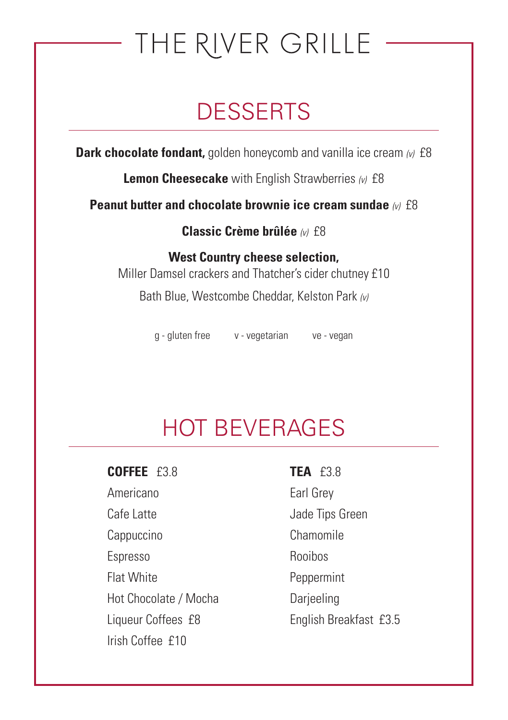# THE RIVER GRILLE

## **DESSERTS**

**Dark chocolate fondant,** golden honeycomb and vanilla ice cream  $w \text{ f8}$ 

**Lemon Cheesecake** with English Strawberries *(v)* £8

**Peanut butter and chocolate brownie ice cream sundae** *(v)* £8

**Classic Crème brûlée** *(v)* £8

**West Country cheese selection,**  Miller Damsel crackers and Thatcher's cider chutney £10 Bath Blue, Westcombe Cheddar, Kelston Park *(v)*

g - gluten free v - vegetarian ve - vegan

## HOT BEVERAGES

**COFFEE** £3.8 **TEA** £3.8

Americano Earl Grey Cafe Latte **Cafe Latte** Jade Tips Green Cappuccino Chamomile Espresso Rooibos Flat White **Peppermint** Hot Chocolate / Mocha Darjeeling Liqueur Coffees £8 English Breakfast £3.5 Irish Coffee £10